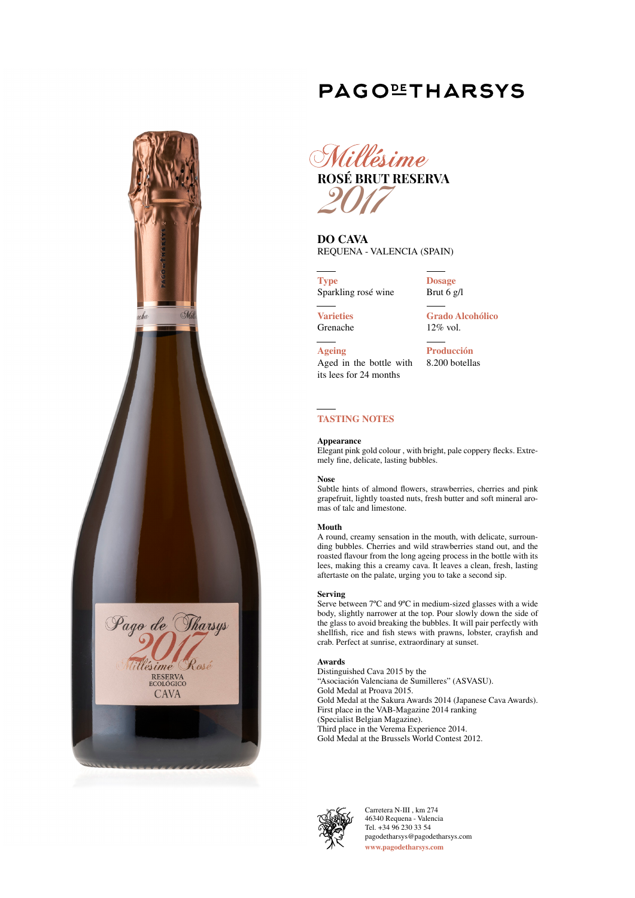# **PAGOLETHARSYS**





**DO CAVA** REQUENA - VALENCIA (SPAIN)

**Type** Sparkling rosé wine

**Dosage** Brut 6 g/l

**Varieties** Grenache

**Ageing**

**Grado Alcohólico** 12% vol.

Aged in the bottle with its lees for 24 months **Producción** 8.200 botellas

# **TASTING NOTES**

#### **Appearance**

Elegant pink gold colour , with bright, pale coppery flecks. Extremely fine, delicate, lasting bubbles.

#### **Nose**

Subtle hints of almond flowers, strawberries, cherries and pink grapefruit, lightly toasted nuts, fresh butter and soft mineral aromas of talc and limestone.

#### **Mouth**

A round, creamy sensation in the mouth, with delicate, surrounding bubbles. Cherries and wild strawberries stand out, and the roasted flavour from the long ageing process in the bottle with its lees, making this a creamy cava. It leaves a clean, fresh, lasting aftertaste on the palate, urging you to take a second sip.

#### **Serving**

Serve between 7ºC and 9ºC in medium-sized glasses with a wide body, slightly narrower at the top. Pour slowly down the side of the glass to avoid breaking the bubbles. It will pair perfectly with shellfish, rice and fish stews with prawns, lobster, crayfish and crab. Perfect at sunrise, extraordinary at sunset.

#### **Awards**

Distinguished Cava 2015 by the "Asociación Valenciana de Sumilleres" (ASVASU). Gold Medal at Proava 2015. Gold Medal at the Sakura Awards 2014 (Japanese Cava Awards). First place in the VAB-Magazine 2014 ranking (Specialist Belgian Magazine). Third place in the Verema Experience 2014. Gold Medal at the Brussels World Contest 2012.



Carretera N-III , km 274 46340 Requena - Valencia Tel. +34 96 230 33 54 pagodetharsys@pagodetharsys.com **www.pagodetharsys.com**